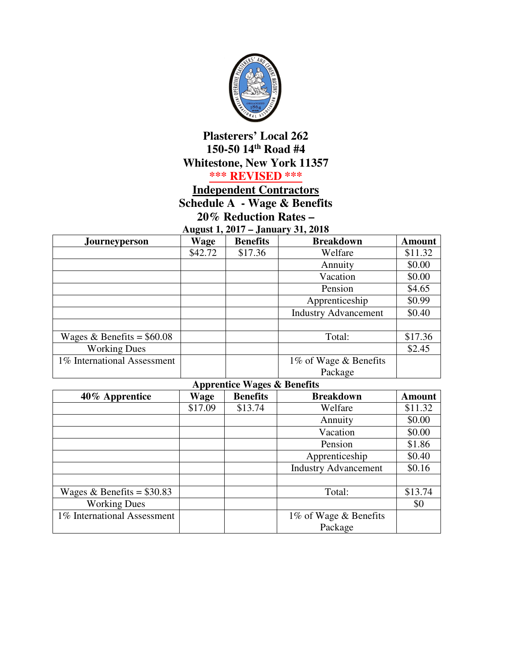

## **Plasterers' Local 262 150-50 14th Road #4 Whitestone, New York 11357**

**\*\*\* REVISED \*\*\*** 

**Independent Contractors** 

**Schedule A - Wage & Benefits** 

**20% Reduction Rates –** 

**August 1, 2017 – January 31, 2018** 

| Journeyperson               | <b>Wage</b> | <b>Benefits</b> | <b>Breakdown</b>            | <b>Amount</b> |
|-----------------------------|-------------|-----------------|-----------------------------|---------------|
|                             | \$42.72     | \$17.36         | Welfare                     | \$11.32       |
|                             |             |                 | Annuity                     | \$0.00        |
|                             |             |                 | Vacation                    | \$0.00        |
|                             |             |                 | Pension                     | \$4.65        |
|                             |             |                 | Apprenticeship              | \$0.99        |
|                             |             |                 | <b>Industry Advancement</b> | \$0.40        |
|                             |             |                 |                             |               |
| Wages & Benefits = $$60.08$ |             |                 | Total:                      | \$17.36       |
| <b>Working Dues</b>         |             |                 |                             | \$2.45        |
| 1% International Assessment |             |                 | 1% of Wage & Benefits       |               |
|                             |             |                 | Package                     |               |

**Apprentice Wages & Benefits** 

| 40% Apprentice              | Wage    | <b>Benefits</b> | <b>Breakdown</b>            | <b>Amount</b> |
|-----------------------------|---------|-----------------|-----------------------------|---------------|
|                             | \$17.09 | \$13.74         | Welfare                     | \$11.32       |
|                             |         |                 | Annuity                     | \$0.00        |
|                             |         |                 | Vacation                    | \$0.00        |
|                             |         |                 | Pension                     | \$1.86        |
|                             |         |                 | Apprenticeship              | \$0.40        |
|                             |         |                 | <b>Industry Advancement</b> | \$0.16        |
|                             |         |                 |                             |               |
| Wages & Benefits = $$30.83$ |         |                 | Total:                      | \$13.74       |
| <b>Working Dues</b>         |         |                 |                             | \$0           |
| 1% International Assessment |         |                 | 1% of Wage & Benefits       |               |
|                             |         |                 | Package                     |               |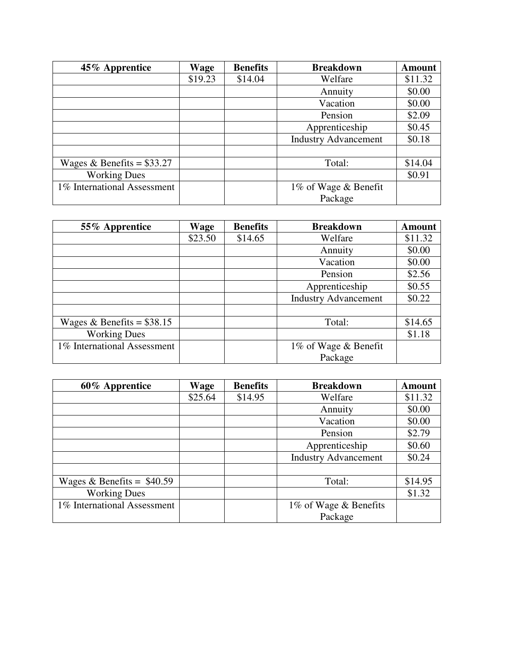| 45% Apprentice              | Wage    | <b>Benefits</b> | <b>Breakdown</b>            | <b>Amount</b> |
|-----------------------------|---------|-----------------|-----------------------------|---------------|
|                             | \$19.23 | \$14.04         | Welfare                     | \$11.32       |
|                             |         |                 | Annuity                     | \$0.00        |
|                             |         |                 | Vacation                    | \$0.00        |
|                             |         |                 | Pension                     | \$2.09        |
|                             |         |                 | Apprenticeship              | \$0.45        |
|                             |         |                 | <b>Industry Advancement</b> | \$0.18        |
|                             |         |                 |                             |               |
| Wages & Benefits = $$33.27$ |         |                 | Total:                      | \$14.04       |
| <b>Working Dues</b>         |         |                 |                             | \$0.91        |
| 1% International Assessment |         |                 | 1% of Wage & Benefit        |               |
|                             |         |                 | Package                     |               |

| 55% Apprentice              | Wage    | <b>Benefits</b> | <b>Breakdown</b>            | Amount  |
|-----------------------------|---------|-----------------|-----------------------------|---------|
|                             | \$23.50 | \$14.65         | Welfare                     | \$11.32 |
|                             |         |                 | Annuity                     | \$0.00  |
|                             |         |                 | Vacation                    | \$0.00  |
|                             |         |                 | Pension                     | \$2.56  |
|                             |         |                 | Apprenticeship              | \$0.55  |
|                             |         |                 | <b>Industry Advancement</b> | \$0.22  |
|                             |         |                 |                             |         |
| Wages & Benefits = $$38.15$ |         |                 | Total:                      | \$14.65 |
| <b>Working Dues</b>         |         |                 |                             | \$1.18  |
| 1% International Assessment |         |                 | 1% of Wage & Benefit        |         |
|                             |         |                 | Package                     |         |

| 60% Apprentice              | Wage    | <b>Benefits</b> | <b>Breakdown</b>            | <b>Amount</b> |
|-----------------------------|---------|-----------------|-----------------------------|---------------|
|                             | \$25.64 | \$14.95         | Welfare                     | \$11.32       |
|                             |         |                 | Annuity                     | \$0.00        |
|                             |         |                 | Vacation                    | \$0.00        |
|                             |         |                 | Pension                     | \$2.79        |
|                             |         |                 | Apprenticeship              | \$0.60        |
|                             |         |                 | <b>Industry Advancement</b> | \$0.24        |
|                             |         |                 |                             |               |
| Wages & Benefits = $$40.59$ |         |                 | Total:                      | \$14.95       |
| <b>Working Dues</b>         |         |                 |                             | \$1.32        |
| 1% International Assessment |         |                 | 1% of Wage & Benefits       |               |
|                             |         |                 | Package                     |               |